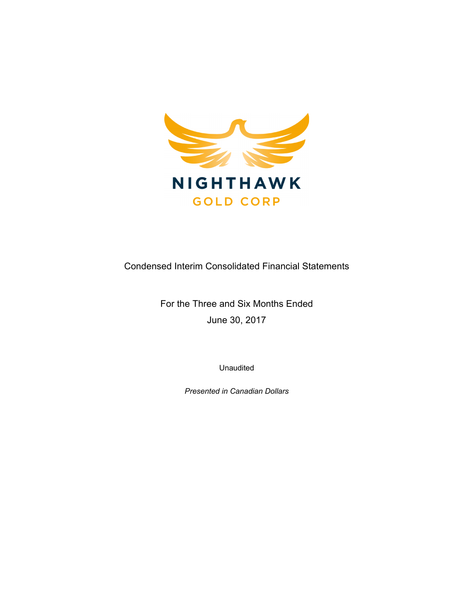

Condensed Interim Consolidated Financial Statements

For the Three and Six Months Ended June 30, 2017

Unaudited

*Presented in Canadian Dollars*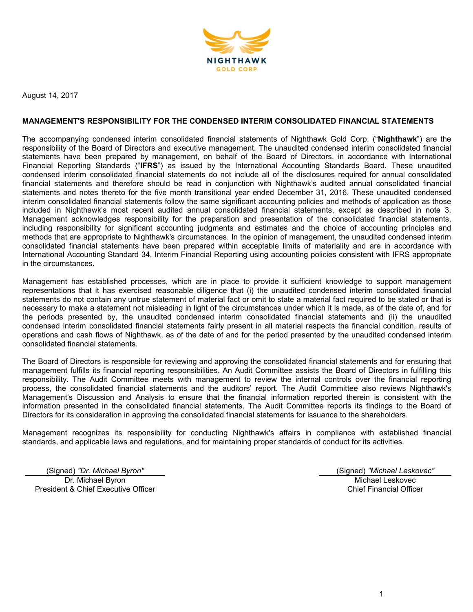

August 14, 2017

#### **MANAGEMENT'S RESPONSIBILITY FOR THE CONDENSED INTERIM CONSOLIDATED FINANCIAL STATEMENTS**

The accompanying condensed interim consolidated financial statements of Nighthawk Gold Corp. ("**Nighthawk**") are the responsibility of the Board of Directors and executive management. The unaudited condensed interim consolidated financial statements have been prepared by management, on behalf of the Board of Directors, in accordance with International Financial Reporting Standards ("**IFRS**") as issued by the International Accounting Standards Board. These unaudited condensed interim consolidated financial statements do not include all of the disclosures required for annual consolidated financial statements and therefore should be read in conjunction with Nighthawk's audited annual consolidated financial statements and notes thereto for the five month transitional year ended December 31, 2016. These unaudited condensed interim consolidated financial statements follow the same significant accounting policies and methods of application as those included in Nighthawk's most recent audited annual consolidated financial statements, except as described in note 3. Management acknowledges responsibility for the preparation and presentation of the consolidated financial statements, including responsibility for significant accounting judgments and estimates and the choice of accounting principles and methods that are appropriate to Nighthawk's circumstances. In the opinion of management, the unaudited condensed interim consolidated financial statements have been prepared within acceptable limits of materiality and are in accordance with International Accounting Standard 34, Interim Financial Reporting using accounting policies consistent with IFRS appropriate in the circumstances.

Management has established processes, which are in place to provide it sufficient knowledge to support management representations that it has exercised reasonable diligence that (i) the unaudited condensed interim consolidated financial statements do not contain any untrue statement of material fact or omit to state a material fact required to be stated or that is necessary to make a statement not misleading in light of the circumstances under which it is made, as of the date of, and for the periods presented by, the unaudited condensed interim consolidated financial statements and (ii) the unaudited condensed interim consolidated financial statements fairly present in all material respects the financial condition, results of operations and cash flows of Nighthawk, as of the date of and for the period presented by the unaudited condensed interim consolidated financial statements.

The Board of Directors is responsible for reviewing and approving the consolidated financial statements and for ensuring that management fulfills its financial reporting responsibilities. An Audit Committee assists the Board of Directors in fulfilling this responsibility. The Audit Committee meets with management to review the internal controls over the financial reporting process, the consolidated financial statements and the auditors' report. The Audit Committee also reviews Nighthawk's Management's Discussion and Analysis to ensure that the financial information reported therein is consistent with the information presented in the consolidated financial statements. The Audit Committee reports its findings to the Board of Directors for its consideration in approving the consolidated financial statements for issuance to the shareholders.

Management recognizes its responsibility for conducting Nighthawk's affairs in compliance with established financial standards, and applicable laws and regulations, and for maintaining proper standards of conduct for its activities.

(Signed) *"Dr. Michael Byron"* (Signed) *"Michael Leskovec"* Dr. Michael Byron President & Chief Executive Officer

Michael Leskovec Chief Financial Officer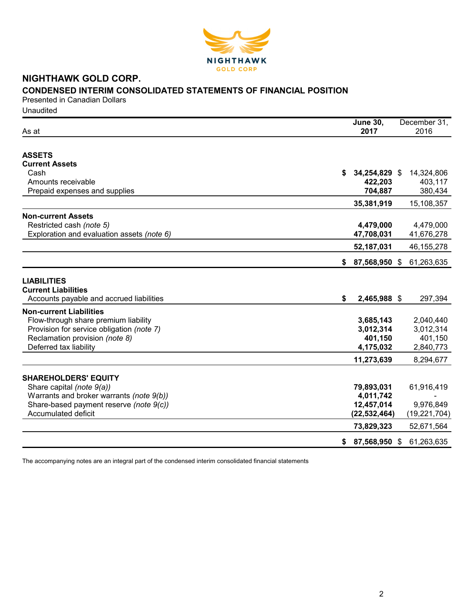

## **NIGHTHAWK GOLD CORP. CONDENSED INTERIM CONSOLIDATED STATEMENTS OF FINANCIAL POSITION**

Presented in Canadian Dollars

Unaudited

| As at                                      |    | <b>June 30,</b><br>2017 | December 31,<br>2016 |
|--------------------------------------------|----|-------------------------|----------------------|
|                                            |    |                         |                      |
| <b>ASSETS</b>                              |    |                         |                      |
| <b>Current Assets</b>                      |    |                         |                      |
| Cash<br>Amounts receivable                 | S  | 34,254,829 \$           | 14,324,806           |
| Prepaid expenses and supplies              |    | 422,203<br>704,887      | 403,117<br>380,434   |
|                                            |    |                         |                      |
|                                            |    | 35,381,919              | 15,108,357           |
| <b>Non-current Assets</b>                  |    |                         |                      |
| Restricted cash (note 5)                   |    | 4,479,000               | 4,479,000            |
| Exploration and evaluation assets (note 6) |    | 47,708,031              | 41,676,278           |
|                                            |    | 52,187,031              | 46, 155, 278         |
|                                            | \$ | 87,568,950 \$           | 61,263,635           |
|                                            |    |                         |                      |
| <b>LIABILITIES</b>                         |    |                         |                      |
| <b>Current Liabilities</b>                 |    |                         |                      |
| Accounts payable and accrued liabilities   | \$ | 2,465,988 \$            | 297,394              |
| <b>Non-current Liabilities</b>             |    |                         |                      |
| Flow-through share premium liability       |    | 3,685,143               | 2,040,440            |
| Provision for service obligation (note 7)  |    | 3,012,314               | 3,012,314            |
| Reclamation provision (note 8)             |    | 401,150                 | 401,150              |
| Deferred tax liability                     |    | 4,175,032               | 2,840,773            |
|                                            |    | 11,273,639              | 8,294,677            |
|                                            |    |                         |                      |
| <b>SHAREHOLDERS' EQUITY</b>                |    |                         |                      |
| Share capital (note 9(a))                  |    | 79,893,031              | 61,916,419           |
| Warrants and broker warrants (note 9(b))   |    | 4,011,742               |                      |
| Share-based payment reserve (note 9(c))    |    | 12,457,014              | 9,976,849            |
| <b>Accumulated deficit</b>                 |    | (22, 532, 464)          | (19, 221, 704)       |
|                                            |    | 73,829,323              | 52,671,564           |
|                                            | \$ | 87,568,950 \$           | 61,263,635           |
|                                            |    |                         |                      |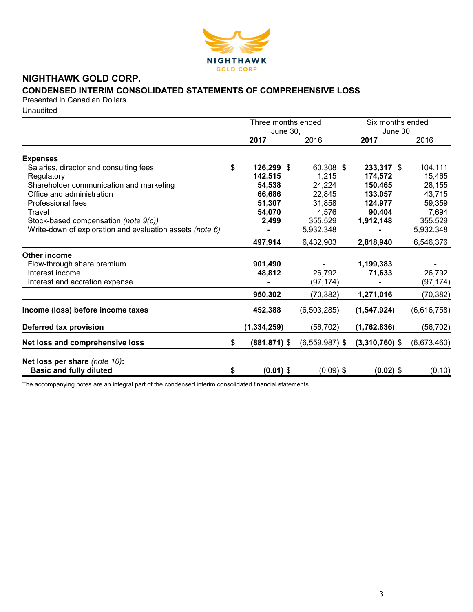

# **NIGHTHAWK GOLD CORP.**

## **CONDENSED INTERIM CONSOLIDATED STATEMENTS OF COMPREHENSIVE LOSS**

Presented in Canadian Dollars

Unaudited

|                                                          | Three months ended |                         |                  | Six months ended        |             |
|----------------------------------------------------------|--------------------|-------------------------|------------------|-------------------------|-------------|
|                                                          |                    | <b>June 30,</b><br>2017 | 2016             | <b>June 30,</b><br>2017 | 2016        |
|                                                          |                    |                         |                  |                         |             |
| <b>Expenses</b>                                          |                    |                         |                  |                         |             |
| Salaries, director and consulting fees                   | \$                 | 126,299 \$              | 60,308 \$        | 233,317 \$              | 104,111     |
| Regulatory                                               |                    | 142,515                 | 1,215            | 174,572                 | 15,465      |
| Shareholder communication and marketing                  |                    | 54,538                  | 24,224           | 150,465                 | 28,155      |
| Office and administration                                |                    | 66,686                  | 22,845           | 133,057                 | 43,715      |
| Professional fees                                        |                    | 51,307                  | 31,858           | 124,977                 | 59,359      |
| Travel                                                   |                    | 54,070                  | 4,576            | 90,404                  | 7,694       |
| Stock-based compensation (note 9(c))                     |                    | 2,499                   | 355,529          | 1,912,148               | 355,529     |
| Write-down of exploration and evaluation assets (note 6) |                    |                         | 5,932,348        |                         | 5,932,348   |
|                                                          |                    | 497,914                 | 6,432,903        | 2,818,940               | 6,546,376   |
| <b>Other income</b>                                      |                    |                         |                  |                         |             |
| Flow-through share premium                               |                    | 901,490                 |                  | 1,199,383               |             |
| Interest income                                          |                    | 48,812                  | 26,792           | 71,633                  | 26,792      |
| Interest and accretion expense                           |                    |                         | (97, 174)        |                         | (97, 174)   |
|                                                          |                    | 950,302                 | (70, 382)        | 1,271,016               | (70, 382)   |
| Income (loss) before income taxes                        |                    | 452,388                 | (6,503,285)      | (1, 547, 924)           | (6,616,758) |
| Deferred tax provision                                   |                    | (1, 334, 259)           | (56, 702)        | (1,762,836)             | (56, 702)   |
| Net loss and comprehensive loss                          | \$                 | $(881, 871)$ \$         | $(6,559,987)$ \$ | $(3,310,760)$ \$        | (6,673,460) |
| Net loss per share (note 10):                            |                    |                         |                  |                         |             |
| <b>Basic and fully diluted</b>                           | \$                 | $(0.01)$ \$             | $(0.09)$ \$      | $(0.02)$ \$             | (0.10)      |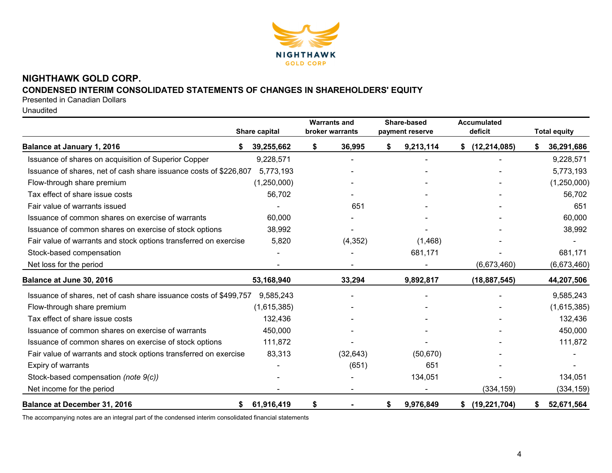

## **NIGHTHAWK GOLD CORP. CONDENSED INTERIM CONSOLIDATED STATEMENTS OF CHANGES IN SHAREHOLDERS' EQUITY**

Presented in Canadian Dollars

Unaudited

|                                                                   | Share capital |    | <b>Warrants and</b><br>broker warrants | Share-based<br>payment reserve | <b>Accumulated</b><br>deficit |    | <b>Total equity</b> |
|-------------------------------------------------------------------|---------------|----|----------------------------------------|--------------------------------|-------------------------------|----|---------------------|
| <b>Balance at January 1, 2016</b>                                 | 39,255,662    | \$ | 36,995                                 | \$<br>9,213,114                | (12, 214, 085)<br>S.          | S. | 36,291,686          |
| Issuance of shares on acquisition of Superior Copper              | 9,228,571     |    |                                        |                                |                               |    | 9,228,571           |
| Issuance of shares, net of cash share issuance costs of \$226,807 | 5,773,193     |    |                                        |                                |                               |    | 5,773,193           |
| Flow-through share premium                                        | (1,250,000)   |    |                                        |                                |                               |    | (1,250,000)         |
| Tax effect of share issue costs                                   | 56,702        |    |                                        |                                |                               |    | 56,702              |
| Fair value of warrants issued                                     |               |    | 651                                    |                                |                               |    | 651                 |
| Issuance of common shares on exercise of warrants                 | 60,000        |    |                                        |                                |                               |    | 60,000              |
| Issuance of common shares on exercise of stock options            | 38,992        |    |                                        |                                |                               |    | 38,992              |
| Fair value of warrants and stock options transferred on exercise  | 5,820         |    | (4, 352)                               | (1,468)                        |                               |    |                     |
| Stock-based compensation                                          |               |    |                                        | 681,171                        |                               |    | 681,171             |
| Net loss for the period                                           |               |    |                                        |                                | (6,673,460)                   |    | (6,673,460)         |
| Balance at June 30, 2016                                          | 53,168,940    |    | 33,294                                 | 9,892,817                      | (18, 887, 545)                |    | 44,207,506          |
| Issuance of shares, net of cash share issuance costs of \$499,757 | 9,585,243     |    |                                        |                                |                               |    | 9,585,243           |
| Flow-through share premium                                        | (1,615,385)   |    |                                        |                                |                               |    | (1,615,385)         |
| Tax effect of share issue costs                                   | 132,436       |    |                                        |                                |                               |    | 132,436             |
| Issuance of common shares on exercise of warrants                 | 450,000       |    |                                        |                                |                               |    | 450,000             |
| Issuance of common shares on exercise of stock options            | 111,872       |    |                                        |                                |                               |    | 111,872             |
| Fair value of warrants and stock options transferred on exercise  | 83,313        |    | (32, 643)                              | (50, 670)                      |                               |    |                     |
| Expiry of warrants                                                |               |    | (651)                                  | 651                            |                               |    |                     |
| Stock-based compensation (note 9(c))                              |               |    |                                        | 134,051                        |                               |    | 134,051             |
| Net income for the period                                         |               |    |                                        |                                | (334, 159)                    |    | (334, 159)          |
| <b>Balance at December 31, 2016</b><br>S                          | 61,916,419    | S  |                                        | \$<br>9,976,849                | (19, 221, 704)<br>S.          | S. | 52,671,564          |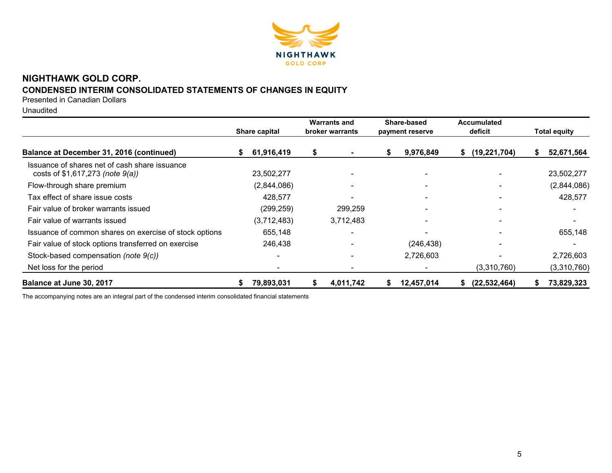

# **NIGHTHAWK GOLD CORP. CONDENSED INTERIM CONSOLIDATED STATEMENTS OF CHANGES IN EQUITY**

Presented in Canadian Dollars

Unaudited

|                                                                                       |    | Share capital |   | <b>Warrants and</b><br>broker warrants |    | Share-based<br>payment reserve | <b>Accumulated</b><br>deficit | <b>Total equity</b> |             |
|---------------------------------------------------------------------------------------|----|---------------|---|----------------------------------------|----|--------------------------------|-------------------------------|---------------------|-------------|
| Balance at December 31, 2016 (continued)                                              | S. | 61,916,419    |   |                                        | \$ | 9,976,849                      | (19, 221, 704)<br>S.          | S.                  | 52,671,564  |
| Issuance of shares net of cash share issuance<br>costs of $$1,617,273$ (note $9(a)$ ) |    | 23,502,277    |   |                                        |    | $\blacksquare$                 |                               |                     | 23,502,277  |
| Flow-through share premium                                                            |    | (2,844,086)   |   |                                        |    |                                |                               |                     | (2,844,086) |
| Tax effect of share issue costs                                                       |    | 428,577       |   |                                        |    |                                |                               |                     | 428,577     |
| Fair value of broker warrants issued                                                  |    | (299, 259)    |   | 299,259                                |    | $\blacksquare$                 |                               |                     |             |
| Fair value of warrants issued                                                         |    | (3,712,483)   |   | 3,712,483                              |    |                                |                               |                     |             |
| Issuance of common shares on exercise of stock options                                |    | 655,148       |   |                                        |    |                                |                               |                     | 655,148     |
| Fair value of stock options transferred on exercise                                   |    | 246,438       |   |                                        |    | (246, 438)                     |                               |                     |             |
| Stock-based compensation (note 9(c))                                                  |    |               |   |                                        |    | 2,726,603                      |                               |                     | 2,726,603   |
| Net loss for the period                                                               |    |               |   |                                        |    |                                | (3,310,760)                   |                     | (3,310,760) |
| Balance at June 30, 2017                                                              |    | 79,893,031    | Ъ | 4,011,742                              | S  | 12,457,014                     | (22, 532, 464)<br>æ.          |                     | 73,829,323  |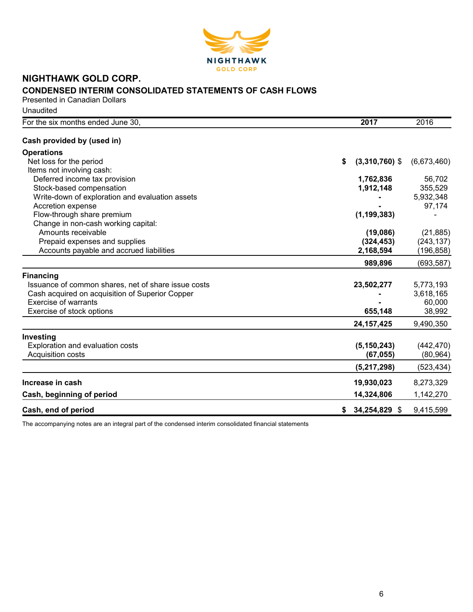

# **NIGHTHAWK GOLD CORP. CONDENSED INTERIM CONSOLIDATED STATEMENTS OF CASH FLOWS**

Presented in Canadian Dollars Unaudited

| For the six months ended June 30.                   | 2017                   | 2016        |
|-----------------------------------------------------|------------------------|-------------|
| Cash provided by (used in)                          |                        |             |
| <b>Operations</b>                                   |                        |             |
| Net loss for the period                             | \$<br>$(3,310,760)$ \$ | (6,673,460) |
| Items not involving cash:                           |                        |             |
| Deferred income tax provision                       | 1,762,836              | 56,702      |
| Stock-based compensation                            | 1,912,148              | 355,529     |
| Write-down of exploration and evaluation assets     |                        | 5,932,348   |
| Accretion expense                                   |                        | 97,174      |
| Flow-through share premium                          | (1, 199, 383)          |             |
| Change in non-cash working capital:                 |                        |             |
| Amounts receivable                                  | (19,086)               | (21, 885)   |
| Prepaid expenses and supplies                       | (324, 453)             | (243, 137)  |
| Accounts payable and accrued liabilities            | 2,168,594              | (196,858)   |
|                                                     | 989,896                | (693, 587)  |
| <b>Financing</b>                                    |                        |             |
| Issuance of common shares, net of share issue costs | 23,502,277             | 5,773,193   |
| Cash acquired on acquisition of Superior Copper     |                        | 3,618,165   |
| <b>Exercise of warrants</b>                         |                        | 60,000      |
| Exercise of stock options                           | 655,148                | 38,992      |
|                                                     | 24, 157, 425           | 9,490,350   |
| Investing                                           |                        |             |
| Exploration and evaluation costs                    | (5, 150, 243)          | (442, 470)  |
| Acquisition costs                                   | (67, 055)              | (80, 964)   |
|                                                     | (5,217,298)            | (523, 434)  |
| Increase in cash                                    | 19,930,023             | 8,273,329   |
|                                                     |                        |             |
| Cash, beginning of period                           | 14,324,806             | 1,142,270   |
| Cash, end of period                                 | $$34,254,829$ \$       | 9,415,599   |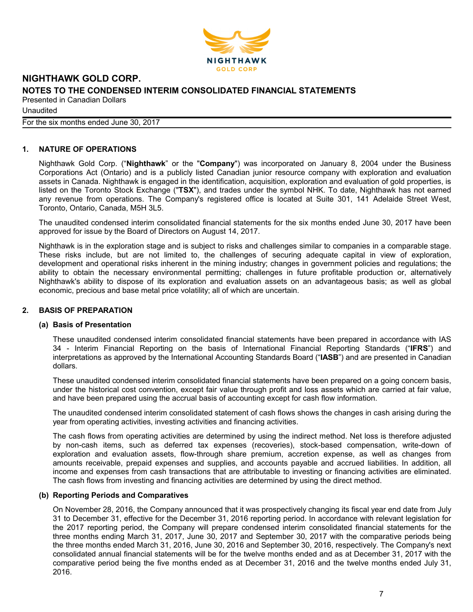

**Unaudited** For the six months ended June 30, 2017

#### **1. NATURE OF OPERATIONS**

Nighthawk Gold Corp. ("**Nighthawk**" or the "**Company**") was incorporated on January 8, 2004 under the Business Corporations Act (Ontario) and is a publicly listed Canadian junior resource company with exploration and evaluation assets in Canada. Nighthawk is engaged in the identification, acquisition, exploration and evaluation of gold properties, is listed on the Toronto Stock Exchange ("**TSX**"), and trades under the symbol NHK. To date, Nighthawk has not earned any revenue from operations. The Company's registered office is located at Suite 301, 141 Adelaide Street West, Toronto, Ontario, Canada, M5H 3L5.

The unaudited condensed interim consolidated financial statements for the six months ended June 30, 2017 have been approved for issue by the Board of Directors on August 14, 2017.

Nighthawk is in the exploration stage and is subject to risks and challenges similar to companies in a comparable stage. These risks include, but are not limited to, the challenges of securing adequate capital in view of exploration, development and operational risks inherent in the mining industry; changes in government policies and regulations; the ability to obtain the necessary environmental permitting; challenges in future profitable production or, alternatively Nighthawk's ability to dispose of its exploration and evaluation assets on an advantageous basis; as well as global economic, precious and base metal price volatility; all of which are uncertain.

#### **2. BASIS OF PREPARATION**

#### **(a) Basis of Presentation**

These unaudited condensed interim consolidated financial statements have been prepared in accordance with IAS 34 - Interim Financial Reporting on the basis of International Financial Reporting Standards ("**IFRS**") and interpretations as approved by the International Accounting Standards Board ("**IASB**") and are presented in Canadian dollars.

These unaudited condensed interim consolidated financial statements have been prepared on a going concern basis, under the historical cost convention, except fair value through profit and loss assets which are carried at fair value, and have been prepared using the accrual basis of accounting except for cash flow information.

The unaudited condensed interim consolidated statement of cash flows shows the changes in cash arising during the year from operating activities, investing activities and financing activities.

The cash flows from operating activities are determined by using the indirect method. Net loss is therefore adjusted by non-cash items, such as deferred tax expenses (recoveries), stock-based compensation, write-down of exploration and evaluation assets, flow-through share premium, accretion expense, as well as changes from amounts receivable, prepaid expenses and supplies, and accounts payable and accrued liabilities. In addition, all income and expenses from cash transactions that are attributable to investing or financing activities are eliminated. The cash flows from investing and financing activities are determined by using the direct method.

#### **(b) Reporting Periods and Comparatives**

On November 28, 2016, the Company announced that it was prospectively changing its fiscal year end date from July 31 to December 31, effective for the December 31, 2016 reporting period. In accordance with relevant legislation for the 2017 reporting period, the Company will prepare condensed interim consolidated financial statements for the three months ending March 31, 2017, June 30, 2017 and September 30, 2017 with the comparative periods being the three months ended March 31, 2016, June 30, 2016 and September 30, 2016, respectively. The Company's next consolidated annual financial statements will be for the twelve months ended and as at December 31, 2017 with the comparative period being the five months ended as at December 31, 2016 and the twelve months ended July 31, 2016.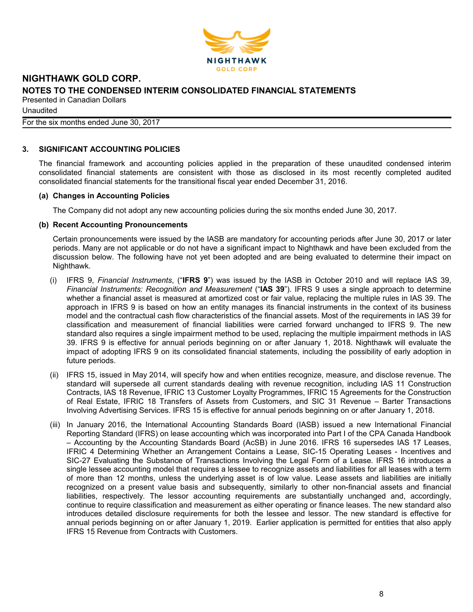

**Unaudited** For the six months ended June 30, 2017

#### **3. SIGNIFICANT ACCOUNTING POLICIES**

The financial framework and accounting policies applied in the preparation of these unaudited condensed interim consolidated financial statements are consistent with those as disclosed in its most recently completed audited consolidated financial statements for the transitional fiscal year ended December 31, 2016.

#### **(a) Changes in Accounting Policies**

The Company did not adopt any new accounting policies during the six months ended June 30, 2017.

#### **(b) Recent Accounting Pronouncements**

Certain pronouncements were issued by the IASB are mandatory for accounting periods after June 30, 2017 or later periods. Many are not applicable or do not have a significant impact to Nighthawk and have been excluded from the discussion below. The following have not yet been adopted and are being evaluated to determine their impact on Nighthawk.

- (i) IFRS 9, *Financial Instruments*, ("**IFRS 9**") was issued by the IASB in October 2010 and will replace IAS 39, *Financial Instruments: Recognition and Measurement* ("**IAS 39**"). IFRS 9 uses a single approach to determine whether a financial asset is measured at amortized cost or fair value, replacing the multiple rules in IAS 39. The approach in IFRS 9 is based on how an entity manages its financial instruments in the context of its business model and the contractual cash flow characteristics of the financial assets. Most of the requirements in IAS 39 for classification and measurement of financial liabilities were carried forward unchanged to IFRS 9. The new standard also requires a single impairment method to be used, replacing the multiple impairment methods in IAS 39. IFRS 9 is effective for annual periods beginning on or after January 1, 2018. Nighthawk will evaluate the impact of adopting IFRS 9 on its consolidated financial statements, including the possibility of early adoption in future periods.
- (ii) IFRS 15, issued in May 2014, will specify how and when entities recognize, measure, and disclose revenue. The standard will supersede all current standards dealing with revenue recognition, including IAS 11 Construction Contracts, IAS 18 Revenue, IFRIC 13 Customer Loyalty Programmes, IFRIC 15 Agreements for the Construction of Real Estate, IFRIC 18 Transfers of Assets from Customers, and SIC 31 Revenue – Barter Transactions Involving Advertising Services. IFRS 15 is effective for annual periods beginning on or after January 1, 2018.
- (iii) In January 2016, the International Accounting Standards Board (IASB) issued a new International Financial Reporting Standard (IFRS) on lease accounting which was incorporated into Part I of the CPA Canada Handbook – Accounting by the Accounting Standards Board (AcSB) in June 2016. IFRS 16 supersedes IAS 17 Leases, IFRIC 4 Determining Whether an Arrangement Contains a Lease, SIC-15 Operating Leases - Incentives and SIC-27 Evaluating the Substance of Transactions Involving the Legal Form of a Lease. IFRS 16 introduces a single lessee accounting model that requires a lessee to recognize assets and liabilities for all leases with a term of more than 12 months, unless the underlying asset is of low value. Lease assets and liabilities are initially recognized on a present value basis and subsequently, similarly to other non-financial assets and financial liabilities, respectively. The lessor accounting requirements are substantially unchanged and, accordingly, continue to require classification and measurement as either operating or finance leases. The new standard also introduces detailed disclosure requirements for both the lessee and lessor. The new standard is effective for annual periods beginning on or after January 1, 2019. Earlier application is permitted for entities that also apply IFRS 15 Revenue from Contracts with Customers.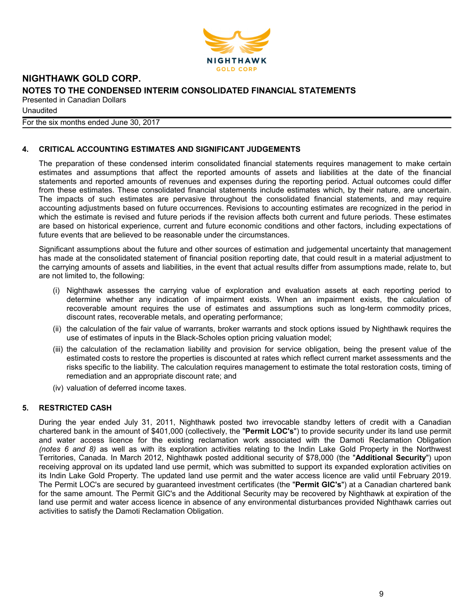

**Unaudited** 

For the six months ended June 30, 2017

#### **4. CRITICAL ACCOUNTING ESTIMATES AND SIGNIFICANT JUDGEMENTS**

The preparation of these condensed interim consolidated financial statements requires management to make certain estimates and assumptions that affect the reported amounts of assets and liabilities at the date of the financial statements and reported amounts of revenues and expenses during the reporting period. Actual outcomes could differ from these estimates. These consolidated financial statements include estimates which, by their nature, are uncertain. The impacts of such estimates are pervasive throughout the consolidated financial statements, and may require accounting adjustments based on future occurrences. Revisions to accounting estimates are recognized in the period in which the estimate is revised and future periods if the revision affects both current and future periods. These estimates are based on historical experience, current and future economic conditions and other factors, including expectations of future events that are believed to be reasonable under the circumstances.

Significant assumptions about the future and other sources of estimation and judgemental uncertainty that management has made at the consolidated statement of financial position reporting date, that could result in a material adjustment to the carrying amounts of assets and liabilities, in the event that actual results differ from assumptions made, relate to, but are not limited to, the following:

- (i) Nighthawk assesses the carrying value of exploration and evaluation assets at each reporting period to determine whether any indication of impairment exists. When an impairment exists, the calculation of recoverable amount requires the use of estimates and assumptions such as long-term commodity prices, discount rates, recoverable metals, and operating performance;
- (ii) the calculation of the fair value of warrants, broker warrants and stock options issued by Nighthawk requires the use of estimates of inputs in the Black-Scholes option pricing valuation model;
- (iii) the calculation of the reclamation liability and provision for service obligation, being the present value of the estimated costs to restore the properties is discounted at rates which reflect current market assessments and the risks specific to the liability. The calculation requires management to estimate the total restoration costs, timing of remediation and an appropriate discount rate; and
- (iv) valuation of deferred income taxes.

#### **5. RESTRICTED CASH**

During the year ended July 31, 2011, Nighthawk posted two irrevocable standby letters of credit with a Canadian chartered bank in the amount of \$401,000 (collectively, the "**Permit LOC's**") to provide security under its land use permit and water access licence for the existing reclamation work associated with the Damoti Reclamation Obligation *(notes 6 and 8)* as well as with its exploration activities relating to the Indin Lake Gold Property in the Northwest Territories, Canada. In March 2012, Nighthawk posted additional security of \$78,000 (the "**Additional Security**") upon receiving approval on its updated land use permit, which was submitted to support its expanded exploration activities on its Indin Lake Gold Property. The updated land use permit and the water access licence are valid until February 2019. The Permit LOC's are secured by guaranteed investment certificates (the "**Permit GIC's**") at a Canadian chartered bank for the same amount. The Permit GIC's and the Additional Security may be recovered by Nighthawk at expiration of the land use permit and water access licence in absence of any environmental disturbances provided Nighthawk carries out activities to satisfy the Damoti Reclamation Obligation.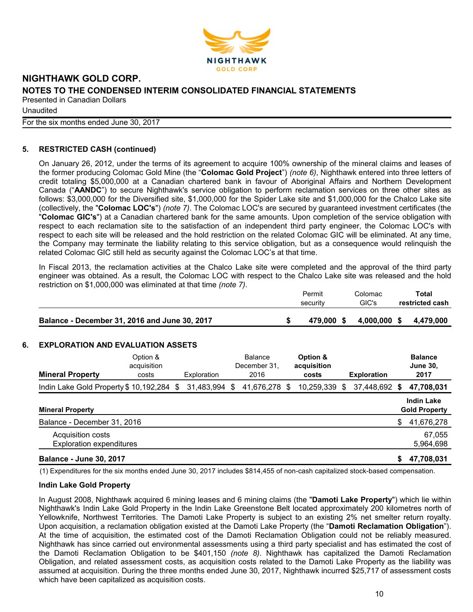

**Unaudited** 

For the six months ended June 30, 2017

### **5. RESTRICTED CASH (continued)**

On January 26, 2012, under the terms of its agreement to acquire 100% ownership of the mineral claims and leases of the former producing Colomac Gold Mine (the "**Colomac Gold Project**") *(note 6)*, Nighthawk entered into three letters of credit totaling \$5,000,000 at a Canadian chartered bank in favour of Aboriginal Affairs and Northern Development Canada ("**AANDC**") to secure Nighthawk's service obligation to perform reclamation services on three other sites as follows: \$3,000,000 for the Diversified site, \$1,000,000 for the Spider Lake site and \$1,000,000 for the Chalco Lake site (collectively, the "**Colomac LOC's**") *(note 7)*. The Colomac LOC's are secured by guaranteed investment certificates (the "**Colomac GIC's**") at a Canadian chartered bank for the same amounts. Upon completion of the service obligation with respect to each reclamation site to the satisfaction of an independent third party engineer, the Colomac LOC's with respect to each site will be released and the hold restriction on the related Colomac GIC will be eliminated. At any time, the Company may terminate the liability relating to this service obligation, but as a consequence would relinquish the related Colomac GIC still held as security against the Colomac LOC's at that time.

In Fiscal 2013, the reclamation activities at the Chalco Lake site were completed and the approval of the third party engineer was obtained. As a result, the Colomac LOC with respect to the Chalco Lake site was released and the hold restriction on \$1,000,000 was eliminated at that time *(note 7)*.

| Permit     | Colomac | Total           |
|------------|---------|-----------------|
| security   | GIC's   | restricted cash |
|            |         |                 |
| 479.000 \$ |         | 4.479.000       |
|            |         | 4.000.000 \$    |

#### **6. EXPLORATION AND EVALUATION ASSETS**

| <b>Mineral Property</b>                              | Option &<br>acquisition<br>costs |    | Exploration |   | <b>Balance</b><br>December 31,<br>2016 |   | Option &<br>acquisition<br>costs |   | <b>Exploration</b> |    | <b>Balance</b><br><b>June 30.</b><br>2017 |
|------------------------------------------------------|----------------------------------|----|-------------|---|----------------------------------------|---|----------------------------------|---|--------------------|----|-------------------------------------------|
| Indin Lake Gold Property \$10,192,284                |                                  | -S | 31,483,994  | S | 41,676,278                             | S | 10,259,339                       | S | 37,448,692         | S. | 47,708,031                                |
| <b>Mineral Property</b>                              |                                  |    |             |   |                                        |   |                                  |   |                    |    | <b>Indin Lake</b><br><b>Gold Property</b> |
| Balance - December 31, 2016                          |                                  |    |             |   |                                        |   |                                  |   |                    | \$ | 41,676,278                                |
| Acquisition costs<br><b>Exploration expenditures</b> |                                  |    |             |   |                                        |   |                                  |   |                    |    | 67,055<br>5,964,698                       |
| <b>Balance - June 30, 2017</b>                       |                                  |    |             |   |                                        |   |                                  |   |                    | S  | 47,708,031                                |

(1) Expenditures for the six months ended June 30, 2017 includes \$814,455 of non-cash capitalized stock-based compensation.

#### **Indin Lake Gold Property**

In August 2008, Nighthawk acquired 6 mining leases and 6 mining claims (the "**Damoti Lake Property**") which lie within Nighthawk's Indin Lake Gold Property in the Indin Lake Greenstone Belt located approximately 200 kilometres north of Yellowknife, Northwest Territories. The Damoti Lake Property is subject to an existing 2% net smelter return royalty. Upon acquisition, a reclamation obligation existed at the Damoti Lake Property (the "**Damoti Reclamation Obligation**"). At the time of acquisition, the estimated cost of the Damoti Reclamation Obligation could not be reliably measured. Nighthawk has since carried out environmental assessments using a third party specialist and has estimated the cost of the Damoti Reclamation Obligation to be \$401,150 *(note 8)*. Nighthawk has capitalized the Damoti Reclamation Obligation, and related assessment costs, as acquisition costs related to the Damoti Lake Property as the liability was assumed at acquisition. During the three months ended June 30, 2017, Nighthawk incurred \$25,717 of assessment costs which have been capitalized as acquisition costs.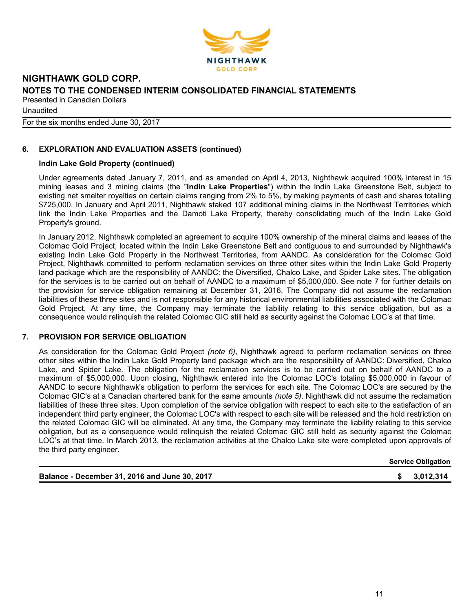

**Unaudited** 

For the six months ended June 30, 2017

### **6. EXPLORATION AND EVALUATION ASSETS (continued)**

#### **Indin Lake Gold Property (continued)**

Under agreements dated January 7, 2011, and as amended on April 4, 2013, Nighthawk acquired 100% interest in 15 mining leases and 3 mining claims (the "**Indin Lake Properties**") within the Indin Lake Greenstone Belt, subject to existing net smelter royalties on certain claims ranging from 2% to 5%, by making payments of cash and shares totalling \$725,000. In January and April 2011, Nighthawk staked 107 additional mining claims in the Northwest Territories which link the Indin Lake Properties and the Damoti Lake Property, thereby consolidating much of the Indin Lake Gold Property's ground.

In January 2012, Nighthawk completed an agreement to acquire 100% ownership of the mineral claims and leases of the Colomac Gold Project, located within the Indin Lake Greenstone Belt and contiguous to and surrounded by Nighthawk's existing Indin Lake Gold Property in the Northwest Territories, from AANDC. As consideration for the Colomac Gold Project, Nighthawk committed to perform reclamation services on three other sites within the Indin Lake Gold Property land package which are the responsibility of AANDC: the Diversified, Chalco Lake, and Spider Lake sites. The obligation for the services is to be carried out on behalf of AANDC to a maximum of \$5,000,000. See note 7 for further details on the provision for service obligation remaining at December 31, 2016. The Company did not assume the reclamation liabilities of these three sites and is not responsible for any historical environmental liabilities associated with the Colomac Gold Project. At any time, the Company may terminate the liability relating to this service obligation, but as a consequence would relinquish the related Colomac GIC still held as security against the Colomac LOC's at that time.

#### **7. PROVISION FOR SERVICE OBLIGATION**

As consideration for the Colomac Gold Project *(note 6)*, Nighthawk agreed to perform reclamation services on three other sites within the Indin Lake Gold Property land package which are the responsibility of AANDC: Diversified, Chalco Lake, and Spider Lake. The obligation for the reclamation services is to be carried out on behalf of AANDC to a maximum of \$5,000,000. Upon closing, Nighthawk entered into the Colomac LOC's totaling \$5,000,000 in favour of AANDC to secure Nighthawk's obligation to perform the services for each site. The Colomac LOC's are secured by the Colomac GIC's at a Canadian chartered bank for the same amounts *(note 5)*. Nighthawk did not assume the reclamation liabilities of these three sites. Upon completion of the service obligation with respect to each site to the satisfaction of an independent third party engineer, the Colomac LOC's with respect to each site will be released and the hold restriction on the related Colomac GIC will be eliminated. At any time, the Company may terminate the liability relating to this service obligation, but as a consequence would relinquish the related Colomac GIC still held as security against the Colomac LOC's at that time. In March 2013, the reclamation activities at the Chalco Lake site were completed upon approvals of the third party engineer.

**Service Obligation**

**Balance - December 31, 2016 and June 30, 2017 \$ 3,012,314**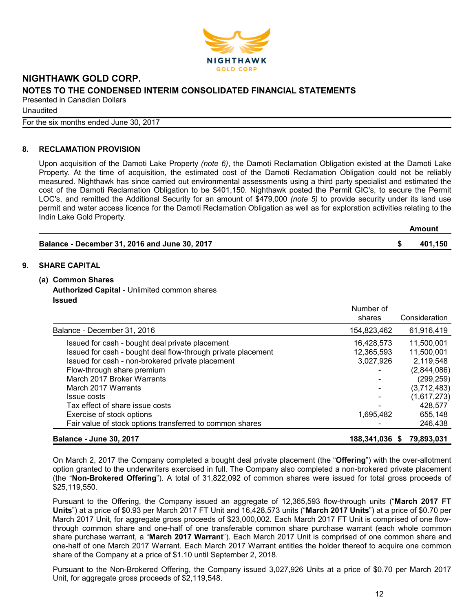

Unaudited

For the six months ended June 30, 2017

#### **8. RECLAMATION PROVISION**

Upon acquisition of the Damoti Lake Property *(note 6)*, the Damoti Reclamation Obligation existed at the Damoti Lake Property. At the time of acquisition, the estimated cost of the Damoti Reclamation Obligation could not be reliably measured. Nighthawk has since carried out environmental assessments using a third party specialist and estimated the cost of the Damoti Reclamation Obligation to be \$401,150. Nighthawk posted the Permit GIC's, to secure the Permit LOC's, and remitted the Additional Security for an amount of \$479,000 *(note 5)* to provide security under its land use permit and water access licence for the Damoti Reclamation Obligation as well as for exploration activities relating to the Indin Lake Gold Property.

|                                               | Amount  |
|-----------------------------------------------|---------|
| Balance - December 31, 2016 and June 30, 2017 | 401,150 |

#### **9. SHARE CAPITAL**

#### **(a) Common Shares**

**Authorized Capital** - Unlimited common shares **Issued**

|                                                                                                                  | Number of<br>shares     | Consideration             |
|------------------------------------------------------------------------------------------------------------------|-------------------------|---------------------------|
| Balance - December 31, 2016                                                                                      | 154,823,462             | 61,916,419                |
| Issued for cash - bought deal private placement                                                                  | 16,428,573              | 11,500,001                |
| Issued for cash - bought deal flow-through private placement<br>Issued for cash - non-brokered private placement | 12,365,593<br>3,027,926 | 11,500,001<br>2,119,548   |
| Flow-through share premium<br>March 2017 Broker Warrants                                                         |                         | (2,844,086)<br>(299, 259) |
| March 2017 Warrants                                                                                              |                         | (3,712,483)               |
| Issue costs<br>Tax effect of share issue costs                                                                   |                         | (1,617,273)<br>428,577    |
| Exercise of stock options                                                                                        | 1,695,482               | 655,148                   |
| Fair value of stock options transferred to common shares                                                         |                         | 246,438                   |
| <b>Balance - June 30, 2017</b>                                                                                   | 188,341,036 \$          | 79.893.031                |

On March 2, 2017 the Company completed a bought deal private placement (the "**Offering**") with the over-allotment option granted to the underwriters exercised in full. The Company also completed a non-brokered private placement (the "**Non-Brokered Offering**"). A total of 31,822,092 of common shares were issued for total gross proceeds of \$25,119,550.

Pursuant to the Offering, the Company issued an aggregate of 12,365,593 flow-through units ("**March 2017 FT Units**") at a price of \$0.93 per March 2017 FT Unit and 16,428,573 units ("**March 2017 Units**") at a price of \$0.70 per March 2017 Unit, for aggregate gross proceeds of \$23,000,002. Each March 2017 FT Unit is comprised of one flowthrough common share and one-half of one transferable common share purchase warrant (each whole common share purchase warrant, a "**March 2017 Warrant**"). Each March 2017 Unit is comprised of one common share and one-half of one March 2017 Warrant. Each March 2017 Warrant entitles the holder thereof to acquire one common share of the Company at a price of \$1.10 until September 2, 2018.

Pursuant to the Non-Brokered Offering, the Company issued 3,027,926 Units at a price of \$0.70 per March 2017 Unit, for aggregate gross proceeds of \$2,119,548.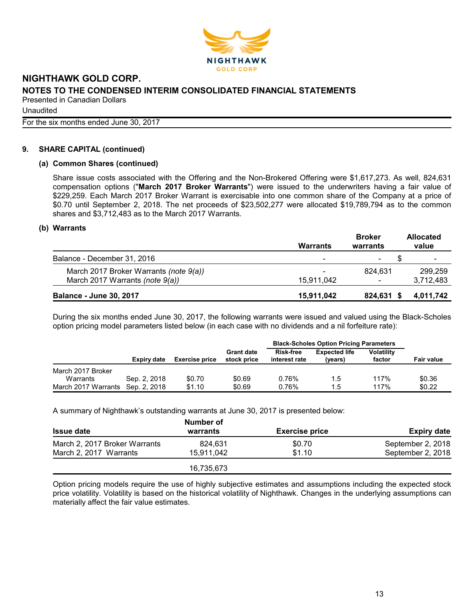

**Unaudited** For the six months ended June 30, 2017

#### **9. SHARE CAPITAL (continued)**

#### **(a) Common Shares (continued)**

Share issue costs associated with the Offering and the Non-Brokered Offering were \$1,617,273. As well, 824,631 compensation options ("**March 2017 Broker Warrants**") were issued to the underwriters having a fair value of \$229,259. Each March 2017 Broker Warrant is exercisable into one common share of the Company at a price of \$0.70 until September 2, 2018. The net proceeds of \$23,502,277 were allocated \$19,789,794 as to the common shares and \$3,712,483 as to the March 2017 Warrants.

#### **(b) Warrants**

|                                        | <b>Warrants</b> | <b>Broker</b><br>warrants | <b>Allocated</b><br>value |
|----------------------------------------|-----------------|---------------------------|---------------------------|
| Balance - December 31, 2016            | -               | $\blacksquare$            |                           |
| March 2017 Broker Warrants (note 9(a)) | -               | 824.631                   | 299.259                   |
| March 2017 Warrants (note 9(a))        | 15.911.042      | ۰                         | 3,712,483                 |
| <b>Balance - June 30, 2017</b>         | 15,911,042      | 824,631                   | 4,011,742                 |

During the six months ended June 30, 2017, the following warrants were issued and valued using the Black-Scholes option pricing model parameters listed below (in each case with no dividends and a nil forfeiture rate):

|                     |              |                       |                                  | <b>Black-Scholes Option Pricing Parameters</b> |                                 |                             |                   |
|---------------------|--------------|-----------------------|----------------------------------|------------------------------------------------|---------------------------------|-----------------------------|-------------------|
|                     | Expiry date  | <b>Exercise price</b> | <b>Grant date</b><br>stock price | <b>Risk-free</b><br>interest rate              | <b>Expected life</b><br>(years) | <b>Volatility</b><br>factor | <b>Fair value</b> |
| March 2017 Broker   |              |                       |                                  |                                                |                                 |                             |                   |
| Warrants            | Sep. 2, 2018 | \$0.70                | \$0.69                           | 0.76%                                          | 1.5                             | 117%                        | \$0.36            |
| March 2017 Warrants | Sep. 2, 2018 | \$1.10                | \$0.69                           | 0.76%                                          | 1.5                             | 117%                        | \$0.22            |

A summary of Nighthawk's outstanding warrants at June 30, 2017 is presented below:

|                               | Number of  |                       |                    |
|-------------------------------|------------|-----------------------|--------------------|
| <b>Issue date</b>             | warrants   | <b>Exercise price</b> | <b>Expiry date</b> |
| March 2, 2017 Broker Warrants | 824.631    | \$0.70                | September 2, 2018  |
| March 2, 2017 Warrants        | 15.911.042 | \$1.10                | September 2, 2018  |
|                               | 16,735,673 |                       |                    |

Option pricing models require the use of highly subjective estimates and assumptions including the expected stock price volatility. Volatility is based on the historical volatility of Nighthawk. Changes in the underlying assumptions can materially affect the fair value estimates.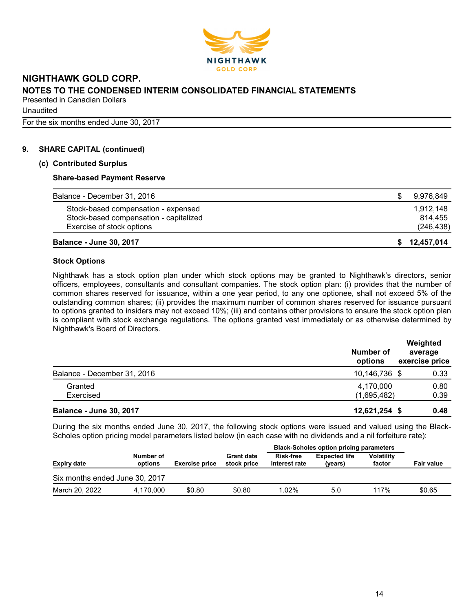

**Unaudited** For the six months ended June 30, 2017

**9. SHARE CAPITAL (continued)**

#### **(c) Contributed Surplus**

#### **Share-based Payment Reserve**

| Balance - December 31, 2016            | 9,976,849  |
|----------------------------------------|------------|
| Stock-based compensation - expensed    | 1.912.148  |
| Stock-based compensation - capitalized | 814.455    |
| Exercise of stock options              | (246, 438) |
| <b>Balance - June 30, 2017</b>         | 12,457,014 |

#### **Stock Options**

Nighthawk has a stock option plan under which stock options may be granted to Nighthawk's directors, senior officers, employees, consultants and consultant companies. The stock option plan: (i) provides that the number of common shares reserved for issuance, within a one year period, to any one optionee, shall not exceed 5% of the outstanding common shares; (ii) provides the maximum number of common shares reserved for issuance pursuant to options granted to insiders may not exceed 10%; (iii) and contains other provisions to ensure the stock option plan is compliant with stock exchange regulations. The options granted vest immediately or as otherwise determined by Nighthawk's Board of Directors.

|                                | Number of<br>options | Weighted<br>average<br>exercise price |
|--------------------------------|----------------------|---------------------------------------|
| Balance - December 31, 2016    | 10,146,736 \$        | 0.33                                  |
| Granted                        | 4,170,000            | 0.80                                  |
| Exercised                      | (1,695,482)          | 0.39                                  |
| <b>Balance - June 30, 2017</b> | 12,621,254 \$        | 0.48                                  |

During the six months ended June 30, 2017, the following stock options were issued and valued using the Black-Scholes option pricing model parameters listed below (in each case with no dividends and a nil forfeiture rate):

|                                |                      |                       |                                  | <b>Black-Scholes option pricing parameters</b> |                                 |                             |                   |
|--------------------------------|----------------------|-----------------------|----------------------------------|------------------------------------------------|---------------------------------|-----------------------------|-------------------|
| <b>Expiry date</b>             | Number of<br>options | <b>Exercise price</b> | <b>Grant date</b><br>stock price | <b>Risk-free</b><br>interest rate              | <b>Expected life</b><br>(years) | <b>Volatility</b><br>factor | <b>Fair value</b> |
| Six months ended June 30, 2017 |                      |                       |                                  |                                                |                                 |                             |                   |
| March 20, 2022                 | 4.170.000            | \$0.80                | \$0.80                           | 1.02%                                          | 5.0                             | 117%                        | \$0.65            |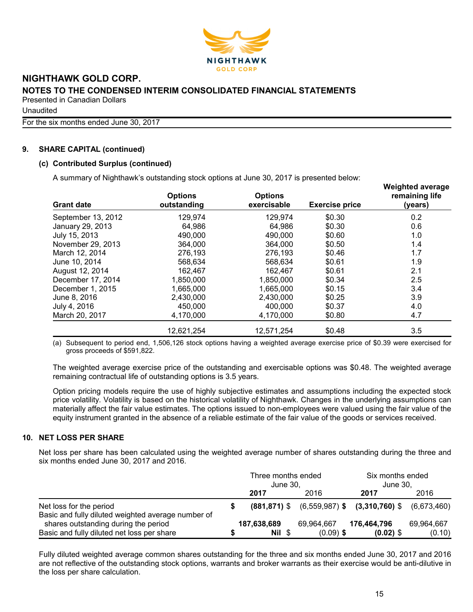

**Unaudited** 

For the six months ended June 30, 2017

#### **9. SHARE CAPITAL (continued)**

#### **(c) Contributed Surplus (continued)**

A summary of Nighthawk's outstanding stock options at June 30, 2017 is presented below:

| $\overline{ }$<br><b>Grant date</b> | <b>Options</b><br>outstanding | <b>Options</b><br>exercisable | <b>Exercise price</b> | <b>Weighted average</b><br>remaining life<br>(years) |
|-------------------------------------|-------------------------------|-------------------------------|-----------------------|------------------------------------------------------|
| September 13, 2012                  | 129,974                       | 129,974                       | \$0.30                | 0.2                                                  |
| January 29, 2013                    | 64,986                        | 64,986                        | \$0.30                | 0.6                                                  |
| July 15, 2013                       | 490,000                       | 490,000                       | \$0.60                | 1.0                                                  |
| November 29, 2013                   | 364,000                       | 364,000                       | \$0.50                | 1.4                                                  |
| March 12, 2014                      | 276,193                       | 276,193                       | \$0.46                | 1.7                                                  |
| June 10, 2014                       | 568,634                       | 568.634                       | \$0.61                | 1.9                                                  |
| August 12, 2014                     | 162,467                       | 162.467                       | \$0.61                | 2.1                                                  |
| December 17, 2014                   | 1,850,000                     | 1,850,000                     | \$0.34                | 2.5                                                  |
| December 1, 2015                    | 1,665,000                     | 1,665,000                     | \$0.15                | 3.4                                                  |
| June 8, 2016                        | 2,430,000                     | 2,430,000                     | \$0.25                | 3.9                                                  |
| July 4, 2016                        | 450,000                       | 400,000                       | \$0.37                | 4.0                                                  |
| March 20, 2017                      | 4,170,000                     | 4,170,000                     | \$0.80                | 4.7                                                  |
|                                     | 12,621,254                    | 12,571,254                    | \$0.48                | 3.5                                                  |

(a) Subsequent to period end, 1,506,126 stock options having a weighted average exercise price of \$0.39 were exercised for gross proceeds of \$591,822.

The weighted average exercise price of the outstanding and exercisable options was \$0.48. The weighted average remaining contractual life of outstanding options is 3.5 years.

Option pricing models require the use of highly subjective estimates and assumptions including the expected stock price volatility. Volatility is based on the historical volatility of Nighthawk. Changes in the underlying assumptions can materially affect the fair value estimates. The options issued to non-employees were valued using the fair value of the equity instrument granted in the absence of a reliable estimate of the fair value of the goods or services received.

#### **10. NET LOSS PER SHARE**

Net loss per share has been calculated using the weighted average number of shares outstanding during the three and six months ended June 30, 2017 and 2016.

|                                                                               | Three months ended<br>June 30, |             |             | Six months ended<br>June 30.                                          |            |  |
|-------------------------------------------------------------------------------|--------------------------------|-------------|-------------|-----------------------------------------------------------------------|------------|--|
|                                                                               |                                | 2017        | 2016        | 2017                                                                  | 2016       |  |
| Net loss for the period<br>Basic and fully diluted weighted average number of |                                |             |             | $(881, 871)$ \$ $(6, 559, 987)$ \$ $(3, 310, 760)$ \$ $(6, 673, 460)$ |            |  |
| shares outstanding during the period                                          |                                | 187,638,689 | 69,964,667  | 176,464,796                                                           | 69,964,667 |  |
| Basic and fully diluted net loss per share                                    |                                | Nil \$      | $(0.09)$ \$ | $(0.02)$ \$                                                           | (0.10)     |  |

Fully diluted weighted average common shares outstanding for the three and six months ended June 30, 2017 and 2016 are not reflective of the outstanding stock options, warrants and broker warrants as their exercise would be anti-dilutive in the loss per share calculation.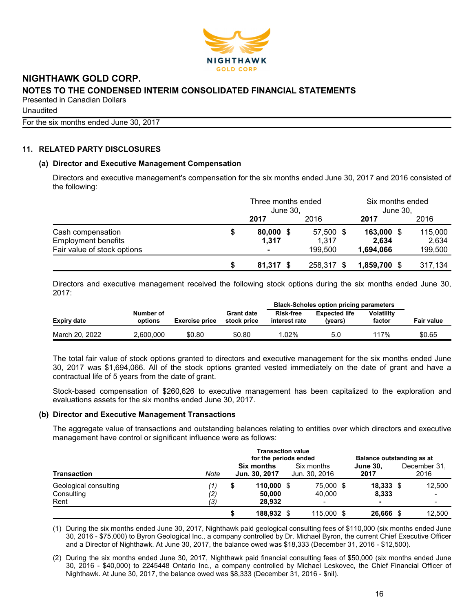

Unaudited

For the six months ended June 30, 2017

#### **11. RELATED PARTY DISCLOSURES**

#### **(a) Director and Executive Management Compensation**

Directors and executive management's compensation for the six months ended June 30, 2017 and 2016 consisted of the following:

|                             |   | Three months ended<br>June 30, |            | Six months ended<br>June 30, |         |  |
|-----------------------------|---|--------------------------------|------------|------------------------------|---------|--|
|                             |   | 2017                           | 2016       | 2017                         | 2016    |  |
| Cash compensation           | S | $80,000$ \$                    | 57,500 \$  | 163,000 \$                   | 115,000 |  |
| <b>Employment benefits</b>  |   | 1.317                          | 1.317      | 2.634                        | 2.634   |  |
| Fair value of stock options |   | $\blacksquare$                 | 199,500    | 1,694,066                    | 199,500 |  |
|                             |   | $81,317$ \$                    | 258,317 \$ | $1,859,700$ \$               | 317,134 |  |

Directors and executive management received the following stock options during the six months ended June 30, 2017:

|                |                      |                       |                                  | <b>Black-Scholes option pricing parameters</b> |                                 |                             |                   |  |  |
|----------------|----------------------|-----------------------|----------------------------------|------------------------------------------------|---------------------------------|-----------------------------|-------------------|--|--|
| Expiry date    | Number of<br>options | <b>Exercise price</b> | <b>Grant date</b><br>stock price | <b>Risk-free</b><br>interest rate              | <b>Expected life</b><br>(vears) | <b>Volatility</b><br>factor | <b>Fair value</b> |  |  |
| March 20, 2022 | 2.600.000            | \$0.80                | \$0.80                           | .02%                                           | 5.0                             | 117%                        | \$0.65            |  |  |

The total fair value of stock options granted to directors and executive management for the six months ended June 30, 2017 was \$1,694,066. All of the stock options granted vested immediately on the date of grant and have a contractual life of 5 years from the date of grant.

Stock-based compensation of \$260,626 to executive management has been capitalized to the exploration and evaluations assets for the six months ended June 30, 2017.

#### **(b) Director and Executive Management Transactions**

The aggregate value of transactions and outstanding balances relating to entities over which directors and executive management have control or significant influence were as follows:

| <b>Transaction</b><br>Geological consulting<br>Consulting<br>Rent |                   | <b>Transaction value</b><br>for the periods ended |                                  |                             |                     | Balance outstanding as at |  |                      |
|-------------------------------------------------------------------|-------------------|---------------------------------------------------|----------------------------------|-----------------------------|---------------------|---------------------------|--|----------------------|
|                                                                   | Note              | <b>Six months</b><br>Jun. 30, 2017                |                                  | Six months<br>Jun. 30, 2016 |                     | <b>June 30.</b><br>2017   |  | December 31.<br>2016 |
|                                                                   | '1)<br>(2)<br>(3) | S                                                 | $110,000$ \$<br>50,000<br>28.932 |                             | 75,000 \$<br>40.000 | $18,333$ \$<br>8,333<br>- |  | 12.500               |
|                                                                   |                   |                                                   | 188,932 \$                       |                             | 115,000 \$          | 26,666                    |  | 12.500               |

(1) During the six months ended June 30, 2017, Nighthawk paid geological consulting fees of \$110,000 (six months ended June 30, 2016 - \$75,000) to Byron Geological Inc., a company controlled by Dr. Michael Byron, the current Chief Executive Officer and a Director of Nighthawk. At June 30, 2017, the balance owed was \$18,333 (December 31, 2016 - \$12,500).

(2) During the six months ended June 30, 2017, Nighthawk paid financial consulting fees of \$50,000 (six months ended June 30, 2016 - \$40,000) to 2245448 Ontario Inc., a company controlled by Michael Leskovec, the Chief Financial Officer of Nighthawk. At June 30, 2017, the balance owed was \$8,333 (December 31, 2016 - \$nil).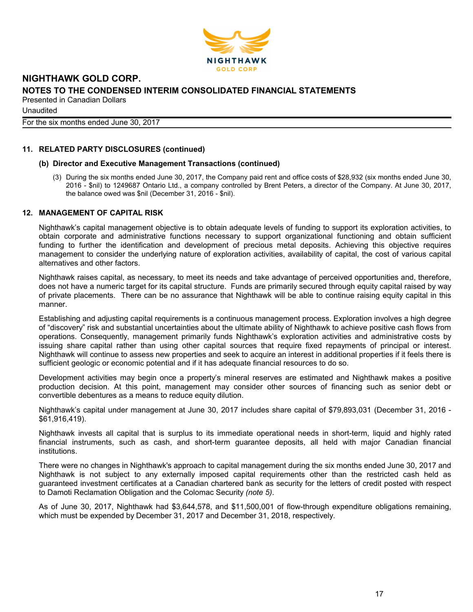

**Unaudited** For the six months ended June 30, 2017

#### **11. RELATED PARTY DISCLOSURES (continued)**

#### **(b) Director and Executive Management Transactions (continued)**

(3) During the six months ended June 30, 2017, the Company paid rent and office costs of \$28,932 (six months ended June 30, 2016 - \$nil) to 1249687 Ontario Ltd., a company controlled by Brent Peters, a director of the Company. At June 30, 2017, the balance owed was \$nil (December 31, 2016 - \$nil).

#### **12. MANAGEMENT OF CAPITAL RISK**

Nighthawk's capital management objective is to obtain adequate levels of funding to support its exploration activities, to obtain corporate and administrative functions necessary to support organizational functioning and obtain sufficient funding to further the identification and development of precious metal deposits. Achieving this objective requires management to consider the underlying nature of exploration activities, availability of capital, the cost of various capital alternatives and other factors.

Nighthawk raises capital, as necessary, to meet its needs and take advantage of perceived opportunities and, therefore, does not have a numeric target for its capital structure. Funds are primarily secured through equity capital raised by way of private placements. There can be no assurance that Nighthawk will be able to continue raising equity capital in this manner.

Establishing and adjusting capital requirements is a continuous management process. Exploration involves a high degree of "discovery" risk and substantial uncertainties about the ultimate ability of Nighthawk to achieve positive cash flows from operations. Consequently, management primarily funds Nighthawk's exploration activities and administrative costs by issuing share capital rather than using other capital sources that require fixed repayments of principal or interest. Nighthawk will continue to assess new properties and seek to acquire an interest in additional properties if it feels there is sufficient geologic or economic potential and if it has adequate financial resources to do so.

Development activities may begin once a property's mineral reserves are estimated and Nighthawk makes a positive production decision. At this point, management may consider other sources of financing such as senior debt or convertible debentures as a means to reduce equity dilution.

Nighthawk's capital under management at June 30, 2017 includes share capital of \$79,893,031 (December 31, 2016 - \$61,916,419).

Nighthawk invests all capital that is surplus to its immediate operational needs in short-term, liquid and highly rated financial instruments, such as cash, and short-term guarantee deposits, all held with major Canadian financial institutions.

There were no changes in Nighthawk's approach to capital management during the six months ended June 30, 2017 and Nighthawk is not subject to any externally imposed capital requirements other than the restricted cash held as guaranteed investment certificates at a Canadian chartered bank as security for the letters of credit posted with respect to Damoti Reclamation Obligation and the Colomac Security *(note 5)*.

As of June 30, 2017, Nighthawk had \$3,644,578, and \$11,500,001 of flow-through expenditure obligations remaining, which must be expended by December 31, 2017 and December 31, 2018, respectively.